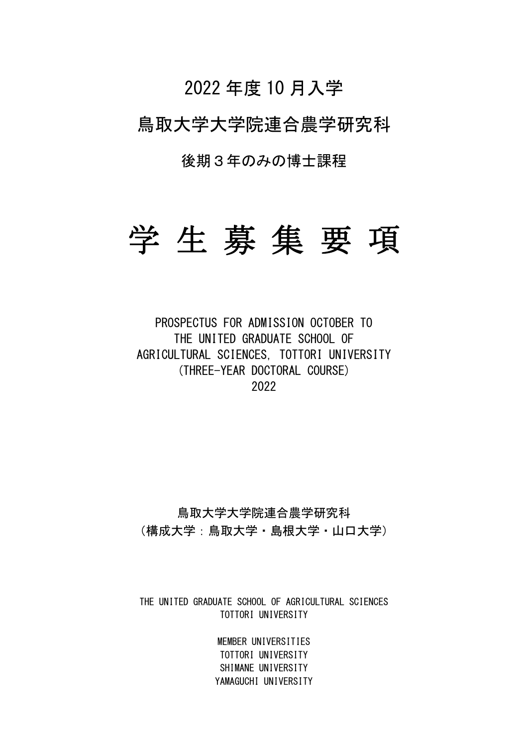# 2022 年度 10 月入学

# 鳥取大学大学院連合農学研究科

後期3年のみの博士課程

# 学 生 募 集 要 項

PROSPECTUS FOR ADMISSION OCTOBER TO THE UNITED GRADUATE SCHOOL OF AGRICULTURAL SCIENCES, TOTTORI UNIVERSITY (THREE-YEAR DOCTORAL COURSE) 2022

# 鳥取大学大学院連合農学研究科 (構成大学:鳥取大学・島根大学・山口大学)

THE UNITED GRADUATE SCHOOL OF AGRICULTURAL SCIENCES TOTTORI UNIVERSITY

> MEMBER UNIVERSITIES TOTTORI UNIVERSITY SHIMANE UNIVERSITY YAMAGUCHI UNIVERSITY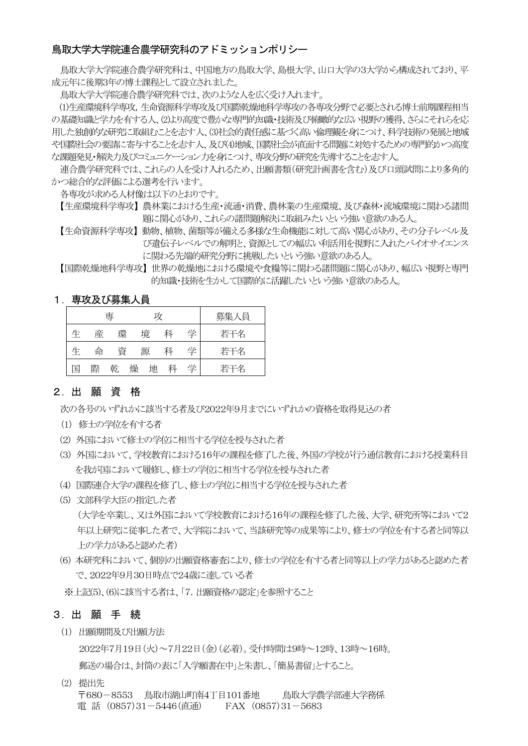### 鳥取大学大学院連合農学研究科のアドミッションポリシー

鳥取大学大学院連合農学研究科は、中国地方の鳥取大学、島根大学、山口大学の3大学から構成されており、平 成元年に後期3年の博士課程として設立されました。

鳥取大学大学院連合農学研究科では、次のような人を広く受け入れます。

(1)生産環境科学専攻,生命資源科学専攻及び国際乾燥地科学専攻の各専攻分野で必要とされる博士前期課程相当 の基礎知識と学力を有する人、(2)より高度で豊かな専門的知識・技術及び俯瞰的な広い視野の獲得、さらにそれらを応 用した独創的な研究に取組むことを志す人、(3)社会的責任感に基づく高い倫理観を身につけ、科学技術の発展と地域 や国際社会の要請に寄与することを志す人、及び(4)地域、国際社会が直面する問題に対処するための専門的かつ高度 な課題発見・解決力及びコミュニケーション力を身につけ、専攻分野の研究を先導することを志す人。

連合農学研究科では、これらの人を受け入れるため、出願書類(研究計画書を含む)及び口頭試問により多角的 かつ総合的な評価による選考を行います。

各専攻が求める人材像は以下のとおりです。

【生産環境科学専攻】 農林業における生産・流通・消費、農林業の生産環境、及び森林・流域環境に関わる諸問 題に関心があり、これらの諸問題解決に取組みたいという強い意欲のある人。

【生命資源科学専攻】 動物、植物、菌類等が備える多様な生命機能に対して高い関心があり、その分子レベル及 び遺伝子レベルでの解明と、資源としての幅広い利活用を視野に入れたバイオサイエンス に関わる先端的研究分野に挑戦したいという強い意欲のある人。

【国際乾燥地科学専攻】 世界の乾燥地における環境や食糧等に関わる諸問題に関心があり、幅広い視野と専門 的知識・技術を生かして国際的に活躍したいという強い意欲のある人。

### 1.専攻及び募集人員

|   |   | 尃 |   | 攻 |   |   | 募集人員 |
|---|---|---|---|---|---|---|------|
| 生 | 産 | 環 |   | 境 | 科 | 学 | 若干名  |
| 生 | 命 | 資 |   | 源 | 科 | 学 | 若干名  |
| 国 | 際 | 乾 | 燥 | 地 | 科 | 学 | 若干名  |

### 2.出 願 資 格

次の各号のいずれかに該当する者及び2022年9月までにいずれかの資格を取得見込の者

- (1) 修士の学位を有する者
- (2) 外国において修士の学位に相当する学位を授与された者
- (3) 外国において、学校教育における16年の課程を修了した後、外国の学校が行う通信教育における授業科目 を我が国において履修し、修士の学位に相当する学位を授与された者
- (4) 国際連合大学の課程を修了し、修士の学位に相当する学位を授与された者
- (5) 文部科学大臣の指定した者 (大学を卒業し、又は外国において学校教育における16年の課程を修了した後、大学、研究所等において2 年以上研究に従事した者で、大学院において、当該研究等の成果等により、修士の学位を有する者と同等以 上の学力があると認めた者)
- (6) 本研究科において、個別の出願資格審査により、修士の学位を有する者と同等以上の学力があると認めた者 で、2022年9月30日時点で24歳に達している者

※上記(5)、(6)に該当する者は、「7.出願資格の認定」を参照すること

### 3.出 願 手 続

(1) 出願期間及び出願方法

2022年7月19日(火)~7月22日(金)(必着)。受付時間は9時~12時、13時~16時。 郵送の場合は、封筒の表に「入学願書在中」と朱書し、「簡易書留」とすること。

(2) 提出先 〒680-8553 鳥取市湖山町南4丁目101番地 鳥取大学農学部連大学務係 電 話 (0857)31-5446(直通) FAX (0857)31-5683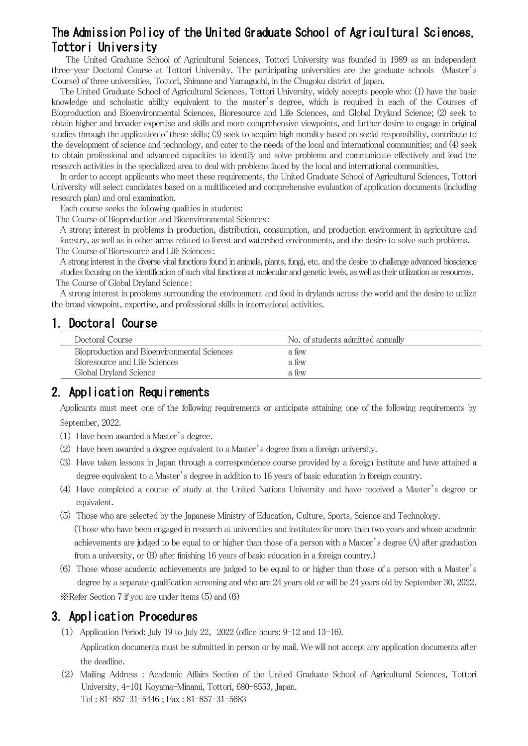# The Admission Policy of the United Graduate School of Agricultural Sciences, Tottori University

The United Graduate School of Agricultural Sciences, Tottori University was founded in 1989 as an independent three-year Doctoral Course at Tottori University. The participating universities are the graduate schools (Master's Course) of three universities, Tottori, Shimane and Yamaguchi, in the Chugoku district of Japan.

The United Graduate School of Agricultural Sciences, Tottori University, widely accepts people who: (1) have the basic knowledge and scholastic ability equivalent to the master's degree, which is required in each of the Courses of Bioproduction and Bioenvironmental Sciences, Bioresource and Life Sciences, and Global Dryland Science; (2) seek to obtain higher and broader expertise and skills and more comprehensive viewpoints, and further desire to engage in original studies through the application of these skills; (3) seek to acquire high morality based on social responsibility, contribute to the development of science and technology, and cater to the needs of the local and international communities; and (4) seek to obtain professional and advanced capacities to identify and solve problems and communicate effectively and lead the research activities in the specialized area to deal with problems faced by the local and international communities.

In order to accept applicants who meet these requirements, the United Graduate School of Agricultural Sciences, Tottori University will select candidates based on a multifaceted and comprehensive evaluation of application documents (including research plan) and oral examination.

Each course seeks the following qualities in students:

The Course of Bioproduction and Bioenvironmental Sciences:

A strong interest in problems in production, distribution, consumption, and production environment in agriculture and forestry, as well as in other areas related to forest and watershed environments, and the desire to solve such problems. The Course of Bioresource and Life Sciences:

A strong interest in the diverse vital functions found in animals, plants, fungi, etc. and the desire to challenge advanced bioscience studies focusing on the identification of such vital functions at molecular and genetic levels, aswell as their utilization as resources. The Course of Global Dryland Science:

A strong interest in problems surrounding the environment and food in drylands across the world and the desire to utilize the broad viewpoint, expertise, and professional skills in international activities.

# 1.Doctoral Course

| Doctoral Course <sub>.</sub>                | No. of students admitted annually |
|---------------------------------------------|-----------------------------------|
| Bioproduction and Bioenvironmental Sciences | a few                             |
| Bioresource and Life Sciences               | a few                             |
| Global Dryland Science                      | a few                             |

# 2.Application Requirements

Applicants must meet one of the following requirements or anticipate attaining one of the following requirements by September, 2022.

- (1) Have been awarded a Master's degree.
- (2) Have been awarded a degree equivalent to a Master's degree from a foreign university.
- (3) Have taken lessons in Japan through a correspondence course provided by a foreign institute and have attained a degree equivalent to a Master's degree in addition to 16 years of basic education in foreign country.
- (4) Have completed a course of study at the United Nations University and have received a Master's degree or equivalent.
- (5) Those who are selected by the Japanese Ministry of Education, Culture, Sports, Science and Technology. (Those who have been engaged in research at universities and institutes for more than two years and whose academic achievements are judged to be equal to or higher than those of a person with a Master's degree (A) after graduation from a university, or (B) after finishing 16 years of basic education in a foreign country.)
- (6) Those whose academic achievements are judged to be equal to or higher than those of a person with a Master's degree by a separate qualification screening and who are 24 years old or will be 24 years old by September 30, 2022.

※Refer Section 7 if you are under items (5) and (6)

# 3.Application Procedures

- (1) Application Period: July 19 to July 22, 2022 (office hours: 9-12 and 13-16). Application documents must be submitted in person or by mail. We will not accept any application documents after the deadline.
- (2) Mailing Address : Academic Affairs Section of the United Graduate School of Agricultural Sciences, Tottori University, 4-101 Koyama-Minami, Tottori, 680-8553, Japan. Tel : 81-857-31-5446 ; Fax : 81-857-31-5683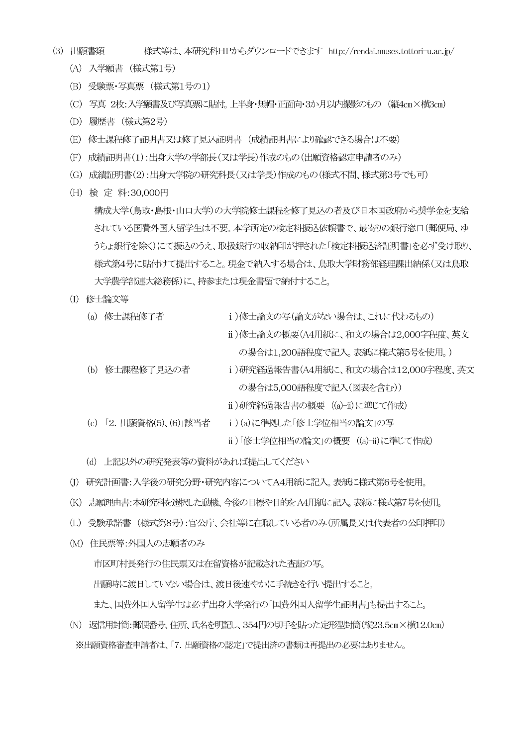- (3) 出願書類 様式等は、本研究科HPからダウンロードできます http://rendai.muses.tottori-u.ac.jp/
	- (A) 入学願書 (様式第1号)
	- (B) 受験票・写真票 (様式第1号の1)
	- (C) 写真 2枚:入学願書及び写真票に貼付。上半身・無帽・正面向・3か月以内撮影のもの (縦4㎝×横3㎝)
	- (D) 履歴書 (様式第2号)
	- (E) 修士課程修了証明書又は修了見込証明書 (成績証明書により確認できる場合は不要)
	- (F) 成績証明書(1):出身大学の学部長(又は学長)作成のもの(出願資格認定申請者のみ)
	- (G) 成績証明書(2):出身大学院の研究科長(又は学長)作成のもの(様式不問、様式第3号でも可)
	- (H) 検 定 料:30,000円 構成大学(鳥取・島根・山口大学)の大学院修士課程を修了見込の者及び日本国政府から奨学金を支給 されている国費外国人留学生は不要。本学所定の検定料振込依頼書で、最寄りの銀行窓口(郵便局、ゆ うちょ銀行を除く)にて振込のうえ、取扱銀行の収納印が押された「検定料振込済証明書」を必ず受け取り、 様式第4号に貼付けて提出すること。現金で納入する場合は、鳥取大学財務部経理課出納係(又は鳥取 大学農学部連大総務係)に、持参または現金書留で納付すること。
	- (I) 修士論文等
		- (a) 修士課程修了者 i)修士論文の写(論文がない場合は、これに代わるもの)
			- ⅱ)修士論文の概要(A4用紙に、和文の場合は2,000字程度、英文 の場合は1,200語程度で記入。表紙に様式第5号を使用。)
		- (b) 修士課程修了見込の者 ⅰ)研究経過報告書(A4用紙に、和文の場合は12,000字程度、英文 の場合は5,000語程度で記入(図表を含む))
			- ⅱ)研究経過報告書の概要 ((a)-ii)に準じて作成)
		- (c) 「2.出願資格(5)、(6)」該当者 ⅰ)(a)に準拠した「修士学位相当の論文」の写
			- ⅱ)「修士学位相当の論文」の概要 ((a)-ii)に準じて作成)
		- (d) 上記以外の研究発表等の資料があれば提出してください
	- (J) 研究計画書:入学後の研究分野・研究内容についてA4用紙に記入。表紙に様式第6号を使用。
	- (K) 志願理由書:本研究科を選択した動機、今後の目標や目的を A4用紙に記入。表紙に様式第7号を使用。
	- (L) 受験承諾書 (様式第8号):官公庁、会社等に在職している者のみ(所属長又は代表者の公印押印)
	- (M) 住民票等:外国人の志願者のみ

市区町村長発行の住民票又は在留資格が記載された査証の写。 出願時に渡日していない場合は、渡日後速やかに手続きを行い提出すること。

また、国費外国人留学生は必ず出身大学発行の「国費外国人留学生証明書」も提出すること。

(N) 返信用封筒:郵便番号、住所、氏名を明記し、354円の切手を貼った定形型封筒(縦23.5㎝×横12.0㎝) ※出願資格審査申請者は、「7. 出願資格の認定」で提出済の書類は再提出の必要はありません。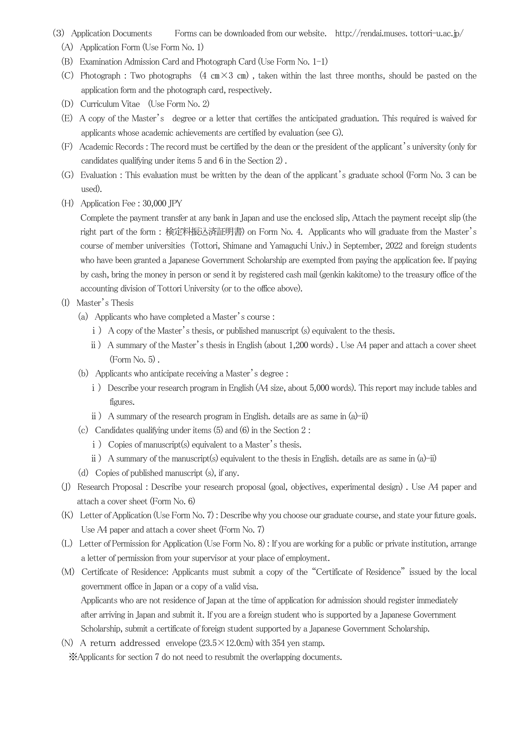- (3) Application Documents Forms can be downloaded from our website. http://rendai.muses. tottori-u.ac.jp/
	- (A) Application Form (Use Form No. 1)
	- (B) Examination Admission Card and Photograph Card (Use Form No. 1-1)
	- (C) Photograph : Two photographs  $(4 \text{ cm} \times 3 \text{ cm})$ , taken within the last three months, should be pasted on the application form and the photograph card, respectively.
	- (D) Curriculum Vitae (Use Form No. 2)
	- (E) A copy of the Master's degree or a letter that certifies the anticipated graduation. This required is waived for applicants whose academic achievements are certified by evaluation (see G).
	- (F) Academic Records : The record must be certified by the dean or the president of the applicant's university (only for candidates qualifying under items 5 and 6 in the Section 2) .
	- (G) Evaluation : This evaluation must be written by the dean of the applicant's graduate school (Form No. 3 can be used).
	- (H) Application Fee : 30,000 JPY

Complete the payment transfer at any bank in Japan and use the enclosed slip, Attach the payment receipt slip (the right part of the form : 検定料振込済証明書) on Form No. 4. Applicants who will graduate from the Master's course of member universities (Tottori, Shimane and Yamaguchi Univ.) in September, 2022 and foreign students who have been granted a Japanese Government Scholarship are exempted from paying the application fee. If paying by cash, bring the money in person or send it by registered cash mail (genkin kakitome) to the treasury office of the accounting division of Tottori University (or to the office above).

- (I) Master's Thesis
	- (a) Applicants who have completed a Master's course :
		- i) A copy of the Master's thesis, or published manuscript (s) equivalent to the thesis.
		- ⅱ) A summary of the Master's thesis in English (about 1,200 words) . Use A4 paper and attach a cover sheet (Form No. 5) .
	- (b) Applicants who anticipate receiving a Master's degree :
		- i) Describe your research program in English (A4 size, about 5,000 words). This report may include tables and figures.
		- ⅱ) A summary of the research program in English. details are as same in (a)-ii)
	- (c) Candidates qualifying under items (5) and (6) in the Section 2 :
		- i) Copies of manuscript(s) equivalent to a Master's thesis.
		- $ii)$  A summary of the manuscript(s) equivalent to the thesis in English. details are as same in (a)-ii)
	- (d) Copies of published manuscript (s), if any.
- (J) Research Proposal : Describe your research proposal (goal, objectives, experimental design) . Use A4 paper and attach a cover sheet (Form No. 6)
- (K) Letter of Application (Use Form No. 7): Describe why you choose our graduate course, and state your future goals. Use A4 paper and attach a cover sheet (Form No. 7)
- (L) Letter of Permission for Application (Use Form No. 8) : If you are working for a public or private institution, arrange a letter of permission from your supervisor at your place of employment.
- (M) Certificate of Residence: Applicants must submit a copy of the "Certificate of Residence" issued by the local government office in Japan or a copy of a valid visa. Applicants who are not residence of Japan at the time of application for admission should register immediately after arriving in Japan and submit it. If you are a foreign student who is supported by a Japanese Government Scholarship, submit a certificate of foreign student supported by a Japanese Government Scholarship.
- (N) A return addressed envelope  $(23.5 \times 12.0 \text{cm})$  with 354 yen stamp. ※Applicants for section 7 do not need to resubmit the overlapping documents.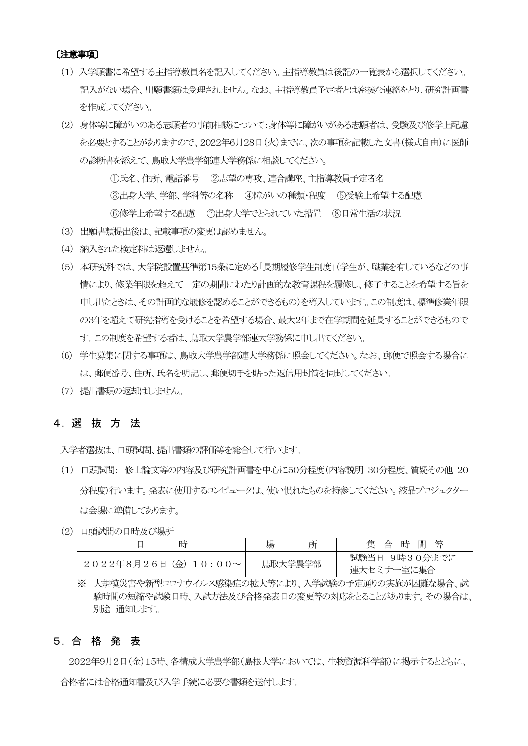#### 〔注意事項〕

- (1) 入学願書に希望する主指導教員名を記入してください。主指導教員は後記の一覧表から選択してください。 記入がない場合、出願書類は受理されません。なお、主指導教員予定者とは密接な連絡をとり、研究計画書 を作成してください。
- (2) 身体等に障がいのある志願者の事前相談について:身体等に障がいがある志願者は、受験及び修学上配慮 を必要とすることがありますので、2022年6月28日(火)までに、次の事項を記載した文書(様式自由)に医師 の診断書を添えて、鳥取大学農学部連大学務係に相談してください。

①氏名、住所、電話番号 ②志望の専攻、連合講座、主指導教員予定者名 ③出身大学、学部、学科等の名称 ④障がいの種類・程度 ⑤受験上希望する配慮 ⑥修学上希望する配慮 ⑦出身大学でとられていた措置 ⑧日常生活の状況

- (3) 出願書類提出後は、記載事項の変更は認めません。
- (4) 納入された検定料は返還しません。
- (5) 本研究科では、大学院設置基準第15条に定める「長期履修学生制度」(学生が、職業を有しているなどの事 情により、修業年限を超えて一定の期間にわたり計画的な教育課程を履修し、修了することを希望する旨を 申し出たときは、その計画的な履修を認めることができるもの)を導入しています。この制度は、標準修業年限 の3年を超えて研究指導を受けることを希望する場合、最大2年まで在学期間を延長することができるもので す。この制度を希望する者は、鳥取大学農学部連大学務係に申し出てください。
- (6) 学生募集に関する事項は、鳥取大学農学部連大学務係に照会してください。なお、郵便で照会する場合に は、郵便番号、住所、氏名を明記し、郵便切手を貼った返信用封筒を同封してください。
- (7) 提出書類の返却はしません。

### 4.選 抜 方 法

入学者選抜は、口頭試問、提出書類の評価等を総合して行います。

- (1) 口頭試問: 修士論文等の内容及び研究計画書を中心に50分程度(内容説明 30分程度、質疑その他 20 分程度)行います。発表に使用するコンピュータは、使い慣れたものを持参してください。液晶プロジェクター は会場に準備してあります。
- (2) 口頭試問の日時及び場所

| 時                             | 場<br>所  | 集 合 時 間 等                   |
|-------------------------------|---------|-----------------------------|
| $2022487261$ (金) $10:00 \sim$ | 鳥取大学農学部 | 試験当日 9時30分までに<br>連大セミナー室に集合 |

<sup>※</sup> 大規模災害や新型コロナウイルス感染症の拡大等により、入学試験の予定通りの実施が困難な場合、試 験時間の短縮や試験日時、入試方法及び合格発表日の変更等の対応をとることがあります。その場合は、 別途 通知します。

### 5.合 格 発 表

2022年9月2日(金)15時、各構成大学農学部(島根大学においては、生物資源科学部)に掲示するとともに、 合格者には合格通知書及び入学手続に必要な書類を送付します。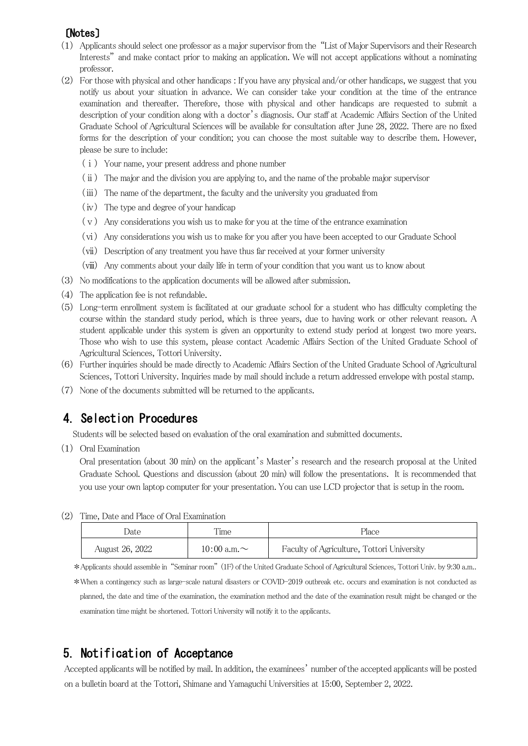# 〔Notes〕

- (1) Applicants should select one professor as a major supervisor from the "List of Major Supervisors and their Research Interests" and make contact prior to making an application. We will not accept applications without a nominating professor.
- (2) For those with physical and other handicaps : If you have any physical and/or other handicaps, we suggest that you notify us about your situation in advance. We can consider take your condition at the time of the entrance examination and thereafter. Therefore, those with physical and other handicaps are requested to submit a description of your condition along with a doctor's diagnosis. Our staff at Academic Affairs Section of the United Graduate School of Agricultural Sciences will be available for consultation after June 28, 2022. There are no fixed forms for the description of your condition; you can choose the most suitable way to describe them. However, please be sure to include:
	- $(i)$  Your name, your present address and phone number
	- (ⅱ) The major and the division you are applying to, and the name of the probable major supervisor
	- (ⅲ) The name of the department, the faculty and the university you graduated from
	- (ⅳ) The type and degree of your handicap
	- $(v)$  Any considerations you wish us to make for you at the time of the entrance examination
	- (ⅵ) Any considerations you wish us to make for you after you have been accepted to our Graduate School
	- (ⅶ) Description of any treatment you have thus far received at your former university
	- (ⅷ) Any comments about your daily life in term of your condition that you want us to know about
- (3) No modifications to the application documents will be allowed after submission.
- (4) The application fee is not refundable.
- (5) Long-term enrollment system is facilitated at our graduate school for a student who has difficulty completing the course within the standard study period, which is three years, due to having work or other relevant reason. A student applicable under this system is given an opportunity to extend study period at longest two more years. Those who wish to use this system, please contact Academic Affairs Section of the United Graduate School of Agricultural Sciences, Tottori University.
- (6) Further inquiries should be made directly to Academic Affairs Section of the United Graduate School of Agricultural Sciences, Tottori University. Inquiries made by mail should include a return addressed envelope with postal stamp.
- (7) None of the documents submitted will be returned to the applicants.

# 4.Selection Procedures

Students will be selected based on evaluation of the oral examination and submitted documents.

(1) Oral Examination

Oral presentation (about 30 min) on the applicant's Master's research and the research proposal at the United Graduate School. Questions and discussion (about 20 min) will follow the presentations. It is recommended that you use your own laptop computer for your presentation. You can use LCD projector that is setup in the room.

| Date            | Time              | Place                                      |  |  |
|-----------------|-------------------|--------------------------------------------|--|--|
| August 26, 2022 | 10:00 a.m. $\sim$ | Faculty of Agriculture, Tottori University |  |  |

(2) Time, Date and Place of Oral Examination

\*Applicants should assemble in "Seminar room" (1F) of the United Graduate School of Agricultural Sciences, Tottori Univ. by 9:30 a.m..

\*When a contingency such as large-scale natural disasters or COVID-2019 outbreak etc. occurs and examination is not conducted as planned, the date and time of the examination, the examination method and the date of the examination result might be changed or the examination time might be shortened. Tottori University will notify it to the applicants.

# 5.Notification of Acceptance

Accepted applicants will be notified by mail. In addition, the examinees' number of the accepted applicants will be posted on a bulletin board at the Tottori, Shimane and Yamaguchi Universities at 15:00, September 2, 2022.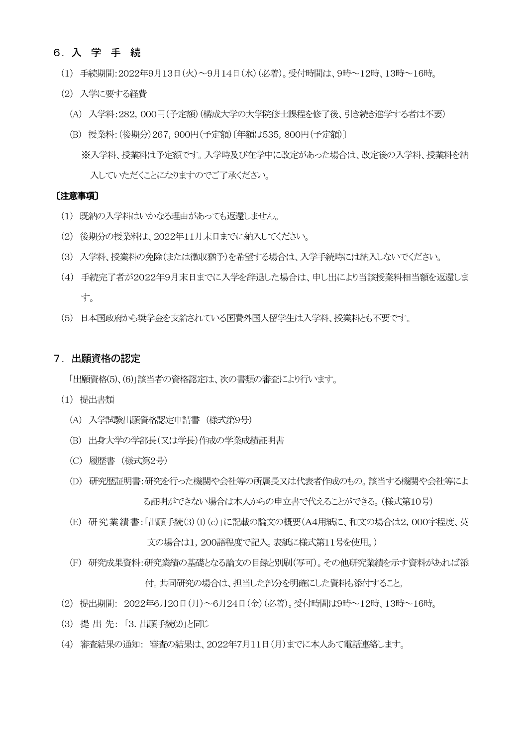### 6.入 学 手 続

- (1) 手続期間:2022年9月13日(火)~9月14日(水)(必着)。受付時間は、9時~12時、13時~16時。
- (2) 入学に要する経費
	- (A) 入学料:282,000円(予定額)(構成大学の大学院修士課程を修了後、引き続き進学する者は不要)
	- (B) 授業料:(後期分)267,900円(予定額)〔年額は535,800円(予定額)〕 ※入学料、授業料は予定額です。入学時及び在学中に改定があった場合は、改定後の入学料、授業料を納 入していただくことになりますのでご了承ください。

#### 〔注意事項〕

- (1) 既納の入学料はいかなる理由があっても返還しません。
- (2) 後期分の授業料は、2022年11月末日までに納入してください。
- (3) 入学料、授業料の免除(または徴収猶予)を希望する場合は、入学手続時には納入しないでください。
- (4) 手続完了者が2022年9月末日までに入学を辞退した場合は、申し出により当該授業料相当額を返還しま す。
- (5) 日本国政府から奨学金を支給されている国費外国人留学生は入学料、授業料とも不要です。

#### 7.出願資格の認定

「出願資格(5)、(6)」該当者の資格認定は、次の書類の審査により行います。

- (1) 提出書類
	- (A) 入学試験出願資格認定申請書 (様式第9号)
	- (B) 出身大学の学部長(又は学長)作成の学業成績証明書
	- (C) 履歴書 (様式第2号)
	- (D) 研究歴証明書:研究を行った機関や会社等の所属長又は代表者作成のもの。該当する機関や会社等によ る証明ができない場合は本人からの申立書で代えることができる。(様式第10号)
	- (E) 研究業績書:「出願手続(3)(I)(c)」に記載の論文の概要(A4用紙に、和文の場合は2,000字程度、英 文の場合は1,200語程度で記入。表紙に様式第11号を使用。)
	- (F) 研究成果資料:研究業績の基礎となる論文の目録と別刷(写可)。その他研究業績を示す資料があれば添 付。共同研究の場合は、担当した部分を明確にした資料も添付すること。
- (2) 提出期間: 2022年6月20日(月)~6月24日(金)(必着)。受付時間は9時~12時、13時~16時。
- (3) 提 出 先: 「3.出願手続(2)」と同じ
- (4) 審査結果の通知: 審査の結果は、2022年7月11日(月)までに本人あて電話連絡します。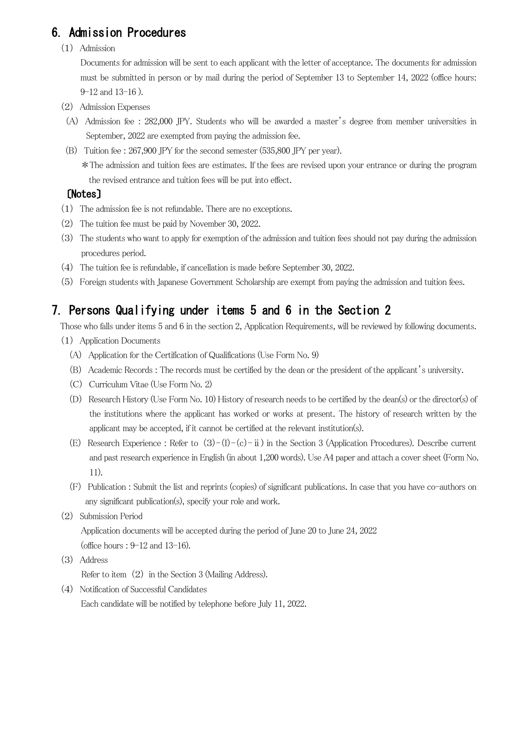# 6.Admission Procedures

(1) Admission

Documents for admission will be sent to each applicant with the letter of acceptance. The documents for admission must be submitted in person or by mail during the period of September 13 to September 14, 2022 (office hours: 9-12 and 13-16 ).

- (2) Admission Expenses
- (A) Admission fee : 282,000 JPY. Students who will be awarded a master's degree from member universities in September, 2022 are exempted from paying the admission fee.
- (B) Tuition fee : 267,900 JPY for the second semester (535,800 JPY per year).

\*The admission and tuition fees are estimates. If the fees are revised upon your entrance or during the program the revised entrance and tuition fees will be put into effect.

## 〔Notes〕

- (1) The admission fee is not refundable. There are no exceptions.
- (2) The tuition fee must be paid by November 30, 2022.
- (3) The students who want to apply for exemption of the admission and tuition fees should not pay during the admission procedures period.
- (4) The tuition fee is refundable, if cancellation is made before September 30, 2022.
- (5) Foreign students with Japanese Government Scholarship are exempt from paying the admission and tuition fees.

# 7.Persons Qualifying under items 5 and 6 in the Section 2

Those who falls under items 5 and 6 in the section 2, Application Requirements, will be reviewed by following documents.

- (1) Application Documents
	- (A) Application for the Certification of Qualifications (Use Form No. 9)
	- (B) Academic Records : The records must be certified by the dean or the president of the applicant's university.
	- (C) Curriculum Vitae (Use Form No. 2)
	- (D) Research History (Use Form No. 10) History of research needs to be certified by the dean(s) or the director(s) of the institutions where the applicant has worked or works at present. The history of research written by the applicant may be accepted, if it cannot be certified at the relevant institution(s).
	- (E) Research Experience : Refer to  $(3)-(1)-(c)-ii$ ) in the Section 3 (Application Procedures). Describe current and past research experience in English (in about 1,200 words). Use A4 paper and attach a cover sheet (Form No. 11).
	- (F) Publication : Submit the list and reprints (copies) of significant publications. In case that you have co-authors on any significant publication(s), specify your role and work.
- (2) Submission Period

Application documents will be accepted during the period of June 20 to June 24, 2022 (office hours : 9-12 and 13-16).

(3) Address

Refer to item (2) in the Section 3 (Mailing Address).

(4) Notification of Successful Candidates Each candidate will be notified by telephone before July 11, 2022.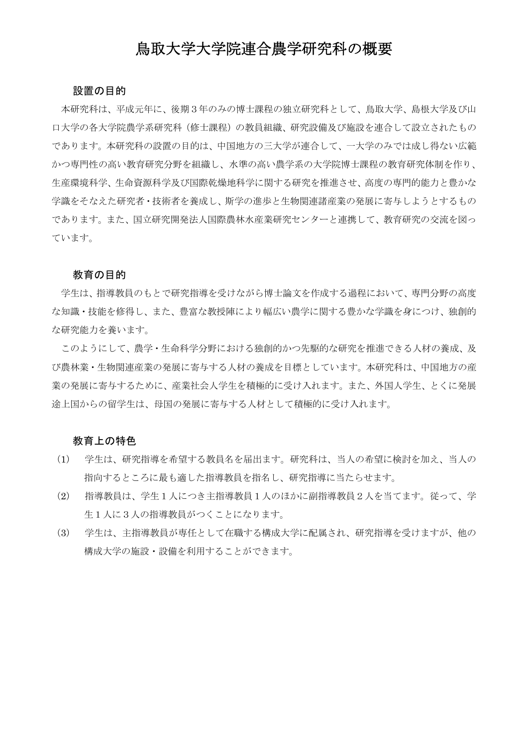# 鳥取大学大学院連合農学研究科の概要

#### 設置の目的

本研究科は、平成元年に、後期3年のみの博士課程の独立研究科として、鳥取大学、島根大学及び山 口大学の各大学院農学系研究科(修士課程)の教員組織、研究設備及び施設を連合して設立されたもの であります。本研究科の設置の目的は、中国地方の三大学が連合して、一大学のみでは成し得ない広範 かつ専門性の高い教育研究分野を組織し、水準の高い農学系の大学院博士課程の教育研究体制を作り、 生産環境科学、生命資源科学及び国際乾燥地科学に関する研究を推進させ、高度の専門的能力と豊かな 学識をそなえた研究者・技術者を養成し、斯学の進歩と生物関連諸産業の発展に寄与しようとするもの であります。また、国立研究開発法人国際農林水産業研究センターと連携して、教育研究の交流を図っ ています。

#### 教育の目的

学生は、指導教員のもとで研究指導を受けながら博士論文を作成する過程において、専門分野の高度 な知識・技能を修得し、また、豊富な教授陣により幅広い農学に関する豊かな学識を身につけ、独創的 な研究能力を養います。

このようにして、農学・生命科学分野における独創的かつ先駆的な研究を推進できる人材の養成、及 び農林業・生物関連産業の発展に寄与する人材の養成を目標としています。本研究科は、中国地方の産 業の発展に寄与するために、産業社会人学生を積極的に受け入れます。また、外国人学生、とくに発展 途上国からの留学生は、母国の発展に寄与する人材として積極的に受け入れます。

### 教育上の特色

- (1) 学生は、研究指導を希望する教員名を届出ます。研究科は、当人の希望に検討を加え、当人の 指向するところに最も適した指導教員を指名し、研究指導に当たらせます。
- (2) 指導教員は、学生1人につき主指導教員1人のほかに副指導教員2人を当てます。従って、学 生1人に3人の指導教員がつくことになります。
- (3) 学生は、主指導教員が専任として在職する構成大学に配属され、研究指導を受けますが、他の 構成大学の施設・設備を利用することができます。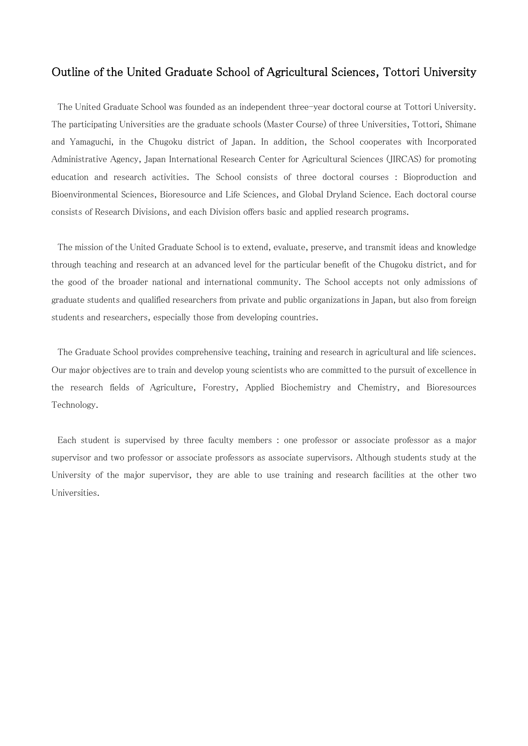### Outline of the United Graduate School of Agricultural Sciences, Tottori University

The United Graduate School was founded as an independent three-year doctoral course at Tottori University. The participating Universities are the graduate schools (Master Course) of three Universities, Tottori, Shimane and Yamaguchi, in the Chugoku district of Japan. In addition, the School cooperates with Incorporated Administrative Agency, Japan International Research Center for Agricultural Sciences (JIRCAS) for promoting education and research activities. The School consists of three doctoral courses : Bioproduction and Bioenvironmental Sciences, Bioresource and Life Sciences, and Global Dryland Science. Each doctoral course consists of Research Divisions, and each Division offers basic and applied research programs.

The mission of the United Graduate School is to extend, evaluate, preserve, and transmit ideas and knowledge through teaching and research at an advanced level for the particular benefit of the Chugoku district, and for the good of the broader national and international community. The School accepts not only admissions of graduate students and qualified researchers from private and public organizations in Japan, but also from foreign students and researchers, especially those from developing countries.

The Graduate School provides comprehensive teaching, training and research in agricultural and life sciences. Our major objectives are to train and develop young scientists who are committed to the pursuit of excellence in the research fields of Agriculture, Forestry, Applied Biochemistry and Chemistry, and Bioresources Technology.

Each student is supervised by three faculty members : one professor or associate professor as a major supervisor and two professor or associate professors as associate supervisors. Although students study at the University of the major supervisor, they are able to use training and research facilities at the other two Universities.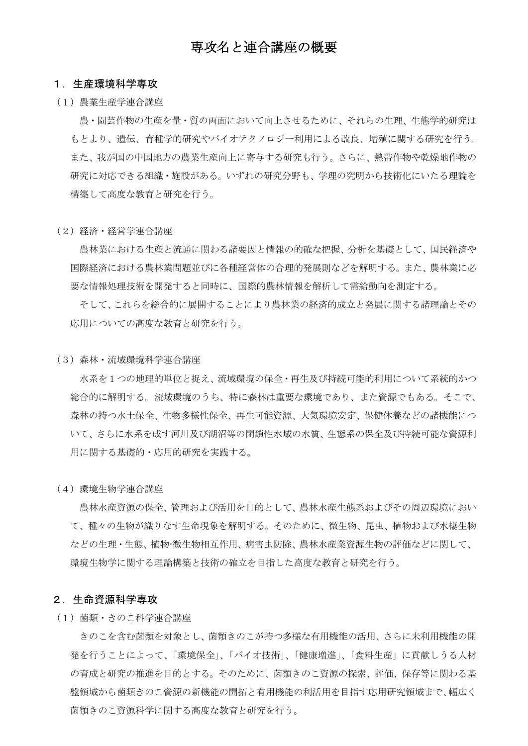# 専攻名と連合講座の概要

#### 1.生産環境科学専攻

(1)農業生産学連合講座

農・園芸作物の生産を量・質の両面において向上させるために、それらの生理、生態学的研究は もとより、遺伝、育種学的研究やバイオテクノロジー利用による改良、増殖に関する研究を行う。 また、我が国の中国地方の農業生産向上に寄与する研究も行う。さらに、熱帯作物や乾燥地作物の 研究に対応できる組織・施設がある。いずれの研究分野も、学理の究明から技術化にいたる理論を 構築して高度な教育と研究を行う。

(2)経済・経営学連合講座

農林業における生産と流通に関わる諸要因と情報の的確な把握、分析を基礎として、国民経済や 国際経済における農林業問題並びに各種経営体の合理的発展則などを解明する。また、農林業に必 要な情報処理技術を開発すると同時に、国際的農林情報を解析して需給動向を測定する。

そして、これらを総合的に展開することにより農林業の経済的成立と発展に関する諸理論とその 応用についての高度な教育と研究を行う。

(3)森林・流域環境科学連合講座

水系を1つの地理的単位と捉え、流域環境の保全・再生及び持続可能的利用について系統的かつ 総合的に解明する。流域環境のうち、特に森林は重要な環境であり、また資源でもある。そこで、 森林の持つ水土保全、生物多様性保全、再生可能資源、大気環境安定、保健休養などの諸機能につ いて、さらに水系を成す河川及び湖沼等の閉鎖性水域の水質、生態系の保全及び持続可能な資源利 用に関する基礎的・応用的研究を実践する。

(4)環境生物学連合講座

農林水産資源の保全、管理および活用を目的として、農林水産生態系およびその周辺環境におい て、種々の生物が織りなす生命現象を解明する。そのために、微生物、昆虫、植物および水棲生物 などの生理・生態、植物-微生物相互作用、病害虫防除、農林水産業資源生物の評価などに関して、 環境生物学に関する理論構築と技術の確立を目指した高度な教育と研究を行う。

#### 2.生命資源科学専攻

(1)菌類・きのこ科学連合講座

きのこを含む菌類を対象とし、菌類きのこが持つ多様な有用機能の活用、さらに未利用機能の開 発を行うことによって、「環境保全」、「バイオ技術」、「健康増進」、「食料生産」に貢献しうる人材 の育成と研究の推進を目的とする。そのために、菌類きのこ資源の探索、評価、保存等に関わる基 盤領域から菌類きのこ資源の新機能の開拓と有用機能の利活用を目指す応用研究領域まで、幅広く 菌類きのこ資源科学に関する高度な教育と研究を行う。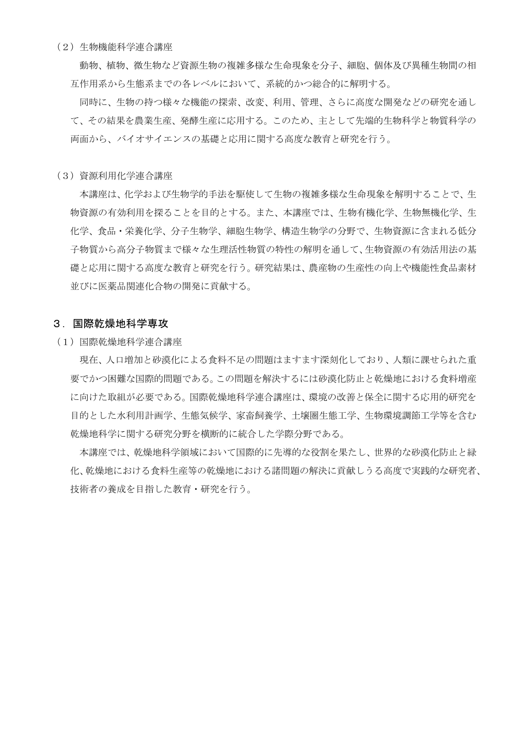(2)生物機能科学連合講座

動物、植物、微生物など資源生物の複雑多様な生命現象を分子、細胞、個体及び異種生物間の相 互作用系から生態系までの各レベルにおいて、系統的かつ総合的に解明する。

同時に、生物の持つ様々な機能の探索、改変、利用、管理、さらに高度な開発などの研究を通し て、その結果を農業生産、発酵生産に応用する。このため、主として先端的生物科学と物質科学の 両面から、バイオサイエンスの基礎と応用に関する高度な教育と研究を行う。

(3)資源利用化学連合講座

本講座は、化学および生物学的手法を駆使して生物の複雑多様な生命現象を解明することで、生 物資源の有効利用を探ることを目的とする。また、本講座では、生物有機化学、生物無機化学、生 化学、食品・栄養化学、分子生物学、細胞生物学、構造生物学の分野で、生物資源に含まれる低分 子物質から高分子物質まで様々な生理活性物質の特性の解明を通して、生物資源の有効活用法の基 礎と応用に関する高度な教育と研究を行う。研究結果は、農産物の生産性の向上や機能性食品素材 並びに医薬品関連化合物の開発に貢献する。

#### 3.国際乾燥地科学専攻

(1)国際乾燥地科学連合講座

現在、人口増加と砂漠化による食料不足の問題はますます深刻化しており、人類に課せられた重 要でかつ困難な国際的問題である。この問題を解決するには砂漠化防止と乾燥地における食料増産 に向けた取組が必要である。国際乾燥地科学連合講座は、環境の改善と保全に関する応用的研究を 目的とした水利用計画学、生態気候学、家畜飼養学、土壌圏生態工学、生物環境調節工学等を含む 乾燥地科学に関する研究分野を横断的に統合した学際分野である。

本講座では、乾燥地科学領域において国際的に先導的な役割を果たし、世界的な砂漠化防止と緑 化、乾燥地における食料生産等の乾燥地における諸問題の解決に貢献しうる高度で実践的な研究者、 技術者の養成を目指した教育・研究を行う。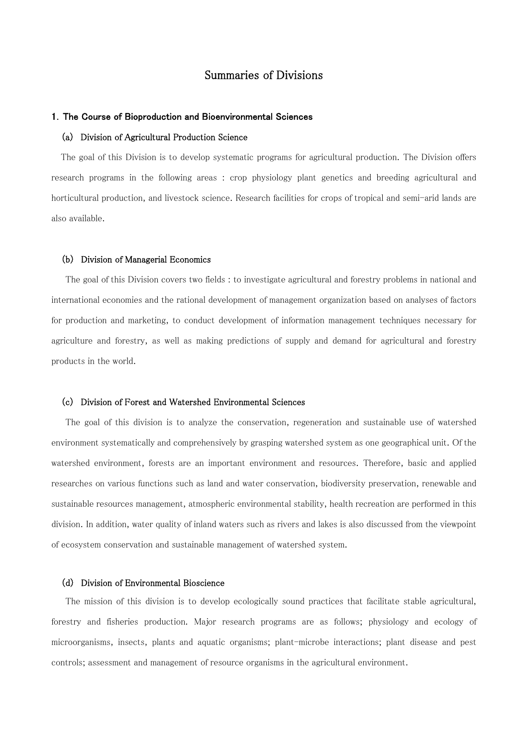### Summaries of Divisions

#### 1.The Course of Bioproduction and Bioenvironmental Sciences

#### (a) Division of Agricultural Production Science

The goal of this Division is to develop systematic programs for agricultural production. The Division offers research programs in the following areas : crop physiology plant genetics and breeding agricultural and horticultural production, and livestock science. Research facilities for crops of tropical and semi-arid lands are also available.

#### (b) Division of Managerial Economics

The goal of this Division covers two fields : to investigate agricultural and forestry problems in national and international economies and the rational development of management organization based on analyses of factors for production and marketing, to conduct development of information management techniques necessary for agriculture and forestry, as well as making predictions of supply and demand for agricultural and forestry products in the world.

#### (c) Division of Forest and Watershed Environmental Sciences

The goal of this division is to analyze the conservation, regeneration and sustainable use of watershed environment systematically and comprehensively by grasping watershed system as one geographical unit. Of the watershed environment, forests are an important environment and resources. Therefore, basic and applied researches on various functions such as land and water conservation, biodiversity preservation, renewable and sustainable resources management, atmospheric environmental stability, health recreation are performed in this division. In addition, water quality of inland waters such as rivers and lakes is also discussed from the viewpoint of ecosystem conservation and sustainable management of watershed system.

#### (d) Division of Environmental Bioscience

The mission of this division is to develop ecologically sound practices that facilitate stable agricultural, forestry and fisheries production. Major research programs are as follows; physiology and ecology of microorganisms, insects, plants and aquatic organisms; plant-microbe interactions; plant disease and pest controls; assessment and management of resource organisms in the agricultural environment.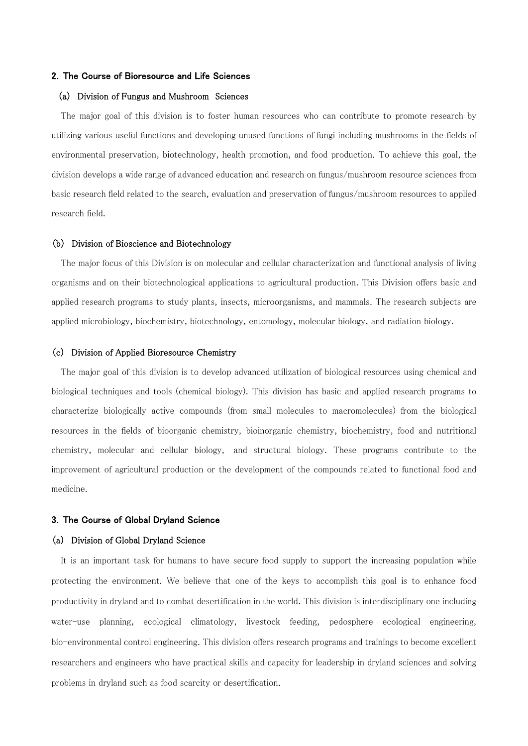#### 2.The Course of Bioresource and Life Sciences

#### (a) Division of Fungus and Mushroom Sciences

The major goal of this division is to foster human resources who can contribute to promote research by utilizing various useful functions and developing unused functions of fungi including mushrooms in the fields of environmental preservation, biotechnology, health promotion, and food production. To achieve this goal, the division develops a wide range of advanced education and research on fungus/mushroom resource sciences from basic research field related to the search, evaluation and preservation of fungus/mushroom resources to applied research field.

#### (b) Division of Bioscience and Biotechnology

The major focus of this Division is on molecular and cellular characterization and functional analysis of living organisms and on their biotechnological applications to agricultural production. This Division offers basic and applied research programs to study plants, insects, microorganisms, and mammals. The research subjects are applied microbiology, biochemistry, biotechnology, entomology, molecular biology, and radiation biology.

#### (c) Division of Applied Bioresource Chemistry

The major goal of this division is to develop advanced utilization of biological resources using chemical and biological techniques and tools (chemical biology). This division has basic and applied research programs to characterize biologically active compounds (from small molecules to macromolecules) from the biological resources in the fields of bioorganic chemistry, bioinorganic chemistry, biochemistry, food and nutritional chemistry, molecular and cellular biology, and structural biology. These programs contribute to the improvement of agricultural production or the development of the compounds related to functional food and medicine.

#### 3.The Course of Global Dryland Science

#### (a) Division of Global Dryland Science

It is an important task for humans to have secure food supply to support the increasing population while protecting the environment. We believe that one of the keys to accomplish this goal is to enhance food productivity in dryland and to combat desertification in the world. This division is interdisciplinary one including water-use planning, ecological climatology, livestock feeding, pedosphere ecological engineering, bio-environmental control engineering. This division offers research programs and trainings to become excellent researchers and engineers who have practical skills and capacity for leadership in dryland sciences and solving problems in dryland such as food scarcity or desertification.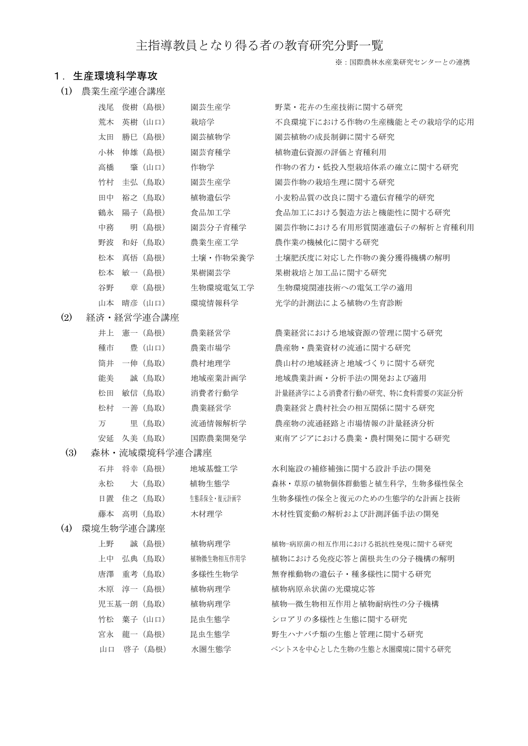# 主指導教員となり得る者の教育研究分野一覧

#### ※:国際農林水産業研究センターとの連携

#### 1.生産環境科学専攻

(1) 農業生産学連合講座

| 浅尾 | 俊樹 (島根)                           | 園芸生産学    | 野菜・花卉の生産技術に関する研究          |
|----|-----------------------------------|----------|---------------------------|
| 荒木 | 英樹 (山口)                           | 栽培学      | 不良環境下における作物の生産機能とその栽培学的応用 |
| 太田 | 勝巳(島根)                            | 園芸植物学    | 園芸植物の成長制御に関する研究           |
| 小林 | 伸雄(島根)                            | 園芸育種学    | 植物遺伝資源の評価と育種利用            |
| 高橋 | 肇(山口)                             | 作物学      | 作物の省力・低投入型栽培体系の確立に関する研究   |
| 竹村 | 丰弘 (鳥取)                           | 園芸生産学    | 園芸作物の栽培生理に関する研究           |
| 田中 | 裕之 (鳥取)                           | 植物遺伝学    | 小麦粉品質の改良に関する遺伝育種学的研究      |
| 鶴永 | 陽子(島根)                            | 食品加工学    | 食品加工における製造方法と機能性に関する研究    |
| 中務 | 明(島根)                             | 園芸分子育種学  | 園芸作物における有用形質関連遺伝子の解析と育種利用 |
| 野波 | 和好(鳥取)                            | 農業生産工学   | 農作業の機械化に関する研究             |
| 松本 | 真悟<br>(鳥根)                        | 十壌・作物栄養学 | 土壌肥沃度に対応した作物の養分獲得機構の解明    |
| 松本 | (鳥根)<br>敏一                        | 果樹園芸学    | 果樹栽培と加工品に関する研究            |
| 谷野 | (鳥根)<br>章                         | 生物環境電気工学 | 生物環境関連技術への電気工学の適用         |
| 山本 | 晴彦(山口)                            | 環境情報科学   | 光学的計測法による植物の生育診断          |
|    | ᅩᅠ ᄼᅠᅲ ᄁᄼ ᄁᄼᄀ <del>ᅩ</del> ᅀᅀᅟᅩᆇᆜ |          |                           |

(2) 経済・経営学連合講座

|    | 井上 憲一(島根)  | 農業経営学   |
|----|------------|---------|
| 種市 | 豊(山口)      | 農業市場学   |
|    | 筒井 一伸 (鳥取) | 農村地理学   |
| 能美 | 誠(鳥取)      | 地域産業計画学 |
| 松田 | 敏信 (鳥取)    | 消費者行動学  |
| 松村 | 一善(鳥取)     | 農業経営学   |
| 万  | 里 (鳥取)     | 流通情報解析学 |
|    | 安延 久美(鳥取)  | 国際農業開発学 |

(3) 森林・流域環境科学連合講座

|               | 石井 将幸 (島根) | 地域基盤工学      |
|---------------|------------|-------------|
|               | 永松 大(鳥取)   | 植物生熊学       |
|               | 日置 佳之(鳥取)  | 生熊系保全・復元計画学 |
|               | 藤本 高明 (鳥取) | 木材理学        |
| (4) 環境生物学連合講座 |            |             |

| 上野         | 誠 (島根) | 植物病理学      | 植物-病原菌の相互作用における抵抗性発現 |
|------------|--------|------------|----------------------|
| 上中         | 弘典(鳥取) | 植物微生物相互作用学 | 植物における免疫応答と菌根共生の分    |
| 唐澤 重考 (鳥取) |        | 多様性生物学     | 無脊椎動物の遺伝子・種多様性に関す    |
| 木原 淳一(島根)  |        | 植物病理学      | 植物病原糸状菌の光環境応答        |
| 児玉基一朗(鳥取)  |        | 植物病理学      | 植物―微生物相互作用と植物耐病性の    |
| 竹松 葉子(山口)  |        | 昆虫生熊学      | シロアリの多様性と生熊に関する研究    |
| 宮永 龍一(鳥根)  |        | 昆虫生熊学      | 野生ハナバチ類の生熊と管理に関する    |
| 山口 啓子 (鳥根) |        | 水圏生熊学      | ベントスを中心とした生物の生熊と水圏環境 |
|            |        |            |                      |

農業経営における地域資源の管理に関する研究 農産物・農業資材の流通に関する研究 農山村の地域経済と地域づくりに関する研究 地域農業計画・分析手法の開発および適用 計量経済学による消費者行動の研究、特に食料需要の実証分析 農業経営と農村社会の相互関係に関する研究 農産物の流通経路と市場情報の計量経済分析 (鳥取) 国際農業開発学 東南アジアにおける農業・農村開発に関する研究

石井 将幸(島根) 地域基盤工学 水利施設の補修補強に関する設計手法の開発 永松 大 (鳥取) 植物生態学 ネ林・草原の植物個体群動態と植生科学,生物多様性保全 生物多様性の保全と復元のための生態学的な計画と技術 藤本 高明(鳥取) 木材理学 木材性質変動の解析および計測評価手法の開発

上野 誠(島根) 植物病理学 植物-病原菌の相互作用における抵抗性発現に関する研究 き 植物における免疫応答と菌根共生の分子機構の解明 唐澤 重考(鳥取) 多様性生物学 無脊椎動物の遺伝子・種多様性に関する研究 児玉基一朗 (鳥取) 植物病理学 補物―微生物相互作用と植物耐病性の分子機構 宮永 龍一(島根) 昆虫生熊学 野生ハナバチ類の生熊と管理に関する研究 ベントスを中心とした生物の生態と水圏環境に関する研究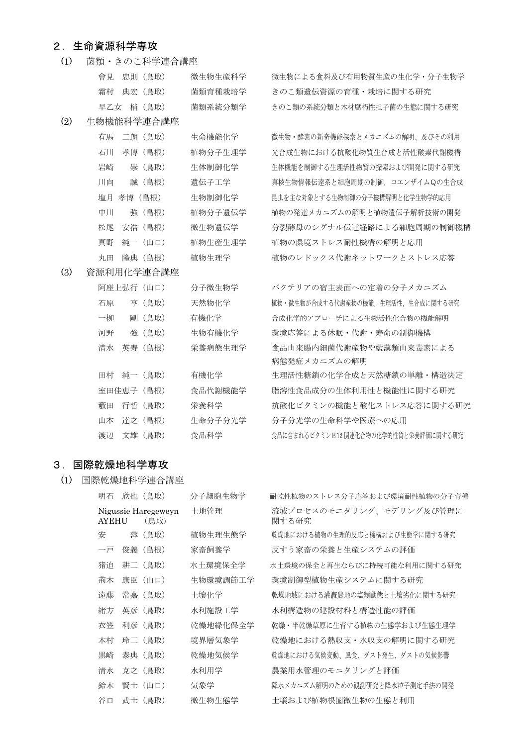### 2.生命資源科学専攻

(1) 菌類・きのこ科学連合講座

|     | 會見 忠則(鳥取)  | 微牛物牛産科学 | 微生物による食料及び有用物質生産の生化学・分子生物学  |
|-----|------------|---------|-----------------------------|
|     | 霜村 典宏 (鳥取) | 菌類育種栽培学 | きのこ類遺伝資源の育種・栽培に関する研究        |
|     | 早乙女 梢 (鳥取) | 菌類系統分類学 | きのこ類の系統分類と木材腐朽性担子菌の生態に関する研究 |
| (2) | 生物機能科学連合講座 |         |                             |
|     |            |         |                             |

有馬 二朗 (鳥取) 生命機能化学 微生物・酵素の新奇機能探索とメカニズムの解明、及びその利用 石川 孝博(島根) 植物分子生理学 光合成生物における抗酸化物質生合成と活性酸素代謝機構 岩崎 崇(鳥取) 生体制御化学 生体機能を制御する生理活性物質の探索および開発に関する研究 川向 誠 (島根) 遺伝子工学 真核生物情報伝達系と細胞周期の制御,コエンザイムQの生合成 塩月 孝博 (島根) 生物制御化学 まさまな対象とする生物制御の分子機構解明と化学生物学的応用 中川 強(島根) 植物分子遺伝学 植物の発達メカニズムの解明と植物遺伝子解析技術の開発 松尾 安浩(島根) 微生物遺伝学 分裂酵母のシグナル伝達経路による細胞周期の制御機構 真野 純一(山口) 植物生産生理学 植物の環境ストレス耐性機構の解明と応用 丸田 降典 (島根) 植物生理学 補物のレドックス代謝ネットワークとストレス応答

(3) 資源利用化学連合講座

|    | 阿座上弘行 (山口) | 分子微生物学  |
|----|------------|---------|
| 石原 | 亨 (鳥取)     | 天然物化学   |
| 一柳 | 剛 (鳥取)     | 有機化学    |
| 河野 | 強 (鳥取)     | 生物有機化学  |
| 清水 | 英寿(島根)     | 栄養病熊生理学 |
|    |            |         |
|    | 田村 純一 (鳥取) | 有機化学    |
|    | 室田佳恵子(島根)  | 食品代謝機能学 |
|    | 藪田 行哲(鳥取)  | 栄養科学    |
|    | 山本 達之 (島根) | 生命分子分光学 |
| 渡辺 | 文雄(鳥取)     | 食品科学    |

バクテリアの宿主表面への定着の分子メカニズム 植物・微生物が合成する代謝産物の機能,生理活性,生合成に関する研究 合成化学的アプローチによる生物活性化合物の機能解明 環境応答による休眠・代謝・寿命の制御機構 食品由来腸内細菌代謝産物や藍藻類由来毒素による 病態発症メカニズムの解明 生理活性糖鎖の化学合成と天然糖鎖の単離・構造決定 脂溶性食品成分の生体利用性と機能性に関する研究 抗酸化ビタミンの機能と酸化ストレス応答に関する研究 分子分光学の生命科学や医療への応用 食品に含まれるビタミンB12 関連化合物の化学的性質と栄養評価に関する研究

### 3.国際乾燥地科学専攻

(1) 国際乾燥地科学連合講座

| 明石           | 欣也 (鳥取)                     | 分子細胞生物学  | 耐乾性植物のストレス分子応答および環境耐性植物の分子育種      |
|--------------|-----------------------------|----------|-----------------------------------|
| <b>AYEHU</b> | Nigussie Haregeweyn<br>(鳥取) | 十地管理     | 流域プロセスのモニタリング、モデリング及び管理に<br>関する研究 |
| 安            | 萍 (鳥取)                      | 植物牛理牛熊学  | 乾燥地における植物の生理的反応と機構および生態学に関する研究    |
| 一戸           | 俊義(鳥根)                      | 家畜飼養学    | 反すう家畜の栄養と生産システムの評価                |
| 猪泊           | 耕二 (鳥取)                     | 水十環境保全学  | 水十環境の保全と再生ならびに持続可能な利用に関する研究       |
| 荊木           | 康臣(山口)                      | 生物環境調節工学 | 環境制御型植物生産システムに関する研究               |
| 遠藤           | 常嘉 (鳥取)                     | 土壤化学     | 乾燥地域における灌漑農地の塩類動熊と土壌劣化に関する研究      |
| 緒方           | 英彦 (鳥取)                     | 水利施設工学   | 水利構造物の建設材料と構造性能の評価                |
| 衣笠           | 利彦 (鳥取)                     | 乾燥地緑化保全学 | 乾燥・半乾燥草原に生育する植物の生熊学および生熊生理学       |
| 木村           | 玲二 (鳥取)                     | 境界層気象学   | 乾燥地における熱収支・水収支の解明に関する研究           |
| 黒崎           | 泰典 (鳥取)                     | 乾燥地気候学   | 乾燥地における気候変動、風食、ダスト発生、ダストの気候影響     |
| 清水           | 克之 (鳥取)                     | 水利用学     | 農業用水管理のモニタリングと評価                  |
| 鈴木           | 腎士(山口)                      | 気象学      | 降水メカニズム解明のための観測研究と降水粒子測定手法の開発     |
| 谷口           | 武士 (鳥取)                     | 微生物生熊学   | 十壤および植物根圏微生物の生熊と利用                |
|              |                             |          |                                   |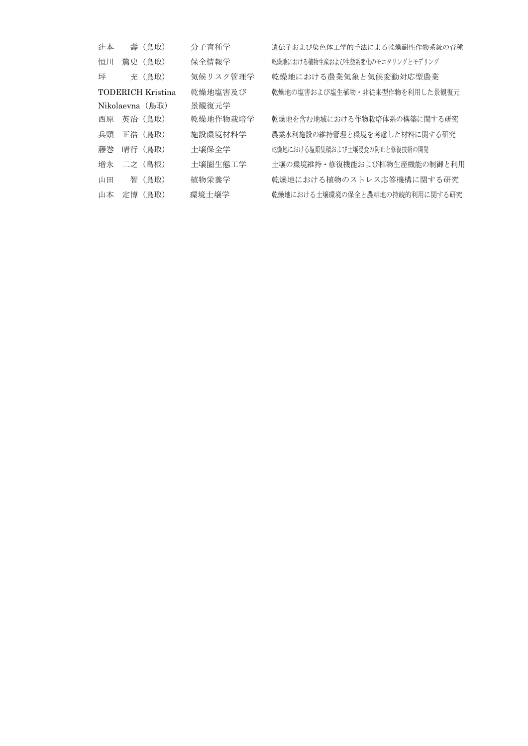| 计本 | 壽 (鳥取)            | 分子育種学    | 遺伝子および染色体工学的手法による乾燥耐性作物系統の育種     |
|----|-------------------|----------|----------------------------------|
| 恒川 | 篇史 (鳥取)           | 保全情報学    | 乾燥地における植物生産および生熊系変化のモニタリングとモデリング |
| 坪  | 充(鳥取)             | 気候リスク管理学 | 乾燥地における農業気象と気候変動対応型農業            |
|    | TODERICH Kristina | 乾燥地塩害及び  | 乾燥地の塩害および塩生植物・非従来型作物を利用した景観復元    |
|    | $Nikolaevna$ (鳥取) | 景観復元学    |                                  |
| 西原 | 英治 (鳥取)           | 乾燥地作物栽培学 | 乾燥地を含む地域における作物栽培体系の構築に関する研究      |
| 兵頭 | 正浩 (鳥取)           | 施設環境材料学  | 農業水利施設の維持管理と環境を考慮した材料に関する研究      |
| 藤巻 | 晴行 (鳥取)           | 十壤保全学    | 乾燥地における塩類集積および十壤浸食の防止と修復技術の開発    |
| 増永 | - 二之 (鳥根)         | 十壤圏牛熊工学  | 十壤の環境維持・修復機能および植物生産機能の制御と利用      |
| 山田 | 智 (鳥取)            | 植物栄養学    | 乾燥地における植物のストレス応答機構に関する研究         |
| 山本 | 定博(鳥取)            | 環境十壤学    | 乾燥地における十壌環境の保全と農耕地の持続的利用に関する研究   |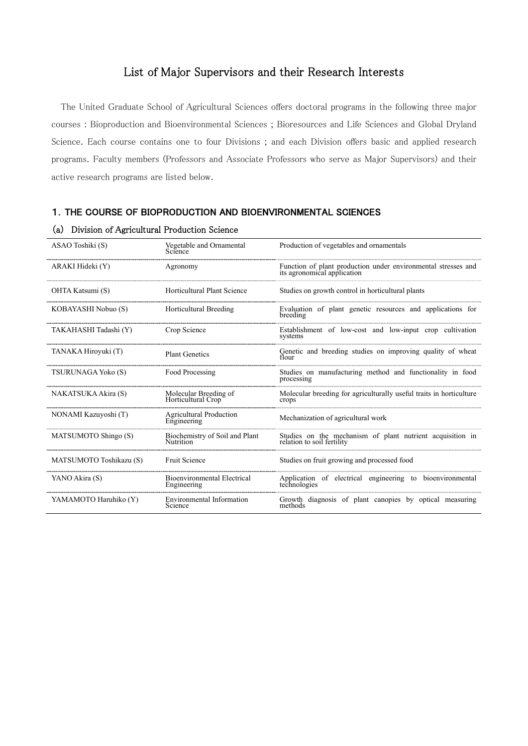# List of Major Supervisors and their Research Interests

The United Graduate School of Agricultural Sciences offers doctoral programs in the following three major courses : Bioproduction and Bioenvironmental Sciences ; Bioresources and Life Sciences and Global Dryland Science. Each course contains one to four Divisions ; and each Division offers basic and applied research programs. Faculty members (Professors and Associate Professors who serve as Major Supervisors) and their active research programs are listed below.

#### 1.THE COURSE OF BIOPRODUCTION AND BIOENVIRONMENTAL SCIENCES

| ASAO Toshiki (S)        | Vegetable and Ornamental<br>Science               | Production of vegetables and ornamentals                                                     |
|-------------------------|---------------------------------------------------|----------------------------------------------------------------------------------------------|
| ARAKI Hideki (Y)        | Agronomy                                          | Function of plant production under environmental stresses and<br>its agronomical application |
| OHTA Katsumi (S)        | Horticultural Plant Science                       | Studies on growth control in horticultural plants                                            |
| KOBAYASHI Nobuo (S)     | Horticultural Breeding                            | Evaluation of plant genetic resources and applications for<br>breeding                       |
| TAKAHASHI Tadashi (Y)   | Crop Science                                      | Establishment of low-cost and low-input crop cultivation<br>systems                          |
| TANAKA Hiroyuki (T)     | <b>Plant Genetics</b>                             | Genetic and breeding studies on improving quality of wheat<br>flour                          |
| TSURUNAGA Yoko (S)      | Food Processing                                   | Studies on manufacturing method and functionality in food<br>processing                      |
| NAKATSUKA Akira (S)     | Molecular Breeding of<br>Horticultural Crop       | Molecular breeding for agriculturally useful traits in horticulture<br>crops                 |
| NONAMI Kazuyoshi (T)    | Agricultural Production<br>Engineering            | Mechanization of agricultural work                                                           |
| MATSUMOTO Shingo (S)    | Biochemistry of Soil and Plant<br>Nutrition       | Studies on the mechanism of plant nutrient acquisition in relation to soil fertility         |
| MATSUMOTO Toshikazu (S) | <b>Fruit Science</b>                              | Studies on fruit growing and processed food                                                  |
| YANO Akira (S)          | <b>Bioenvironmental Electrical</b><br>Engineering | Application of electrical engineering to bioenvironmental<br>technologies                    |
| YAMAMOTO Haruhiko (Y)   | <b>Environmental Information</b><br>Science       | Growth diagnosis of plant canopies by optical measuring<br>methods                           |

#### (a) Division of Agricultural Production Science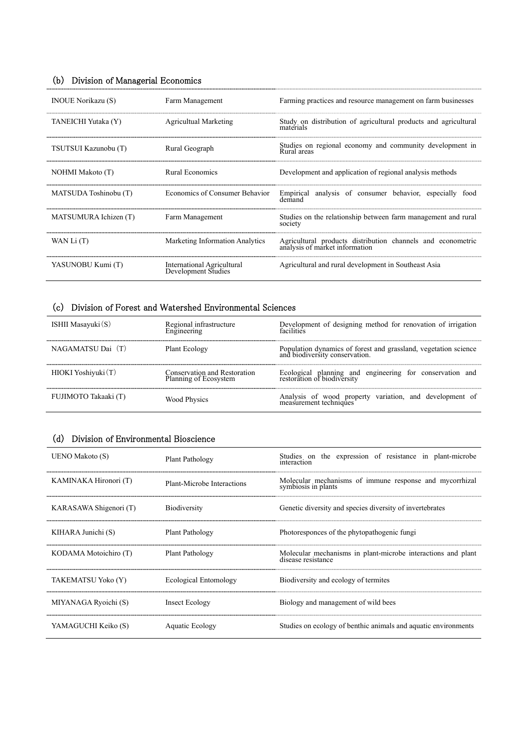# (b) Division of Managerial Economics

| <b>INOUE Norikazu (S)</b> | Farm Management                                          | Farming practices and resource management on farm businesses                                  |
|---------------------------|----------------------------------------------------------|-----------------------------------------------------------------------------------------------|
| TANEICHI Yutaka (Y)       | Agricultual Marketing                                    | Study on distribution of agricultural products and agricultural<br>materials                  |
| TSUTSUI Kazunobu (T)      | Rural Geograph                                           | Studies on regional economy and community development in<br>Rural areas                       |
| NOHMI Makoto (T)          | Rural Economics                                          | Development and application of regional analysis methods                                      |
| MATSUDA Toshinobu (T)     | Economics of Consumer Behavior                           | Empirical analysis of consumer behavior, especially food<br>demand                            |
| MATSUMURA Ichizen (T)     | Farm Management                                          | Studies on the relationship between farm management and rural<br>society                      |
| WAN Li (T)                | Marketing Information Analytics                          | Agricultural products distribution channels and econometric<br>analysis of market information |
| YASUNOBU Kumi (T)         | <b>International Agricultural</b><br>Development Studies | Agricultural and rural development in Southeast Asia                                          |

# (c) Division of Forest and Watershed Environmental Sciences

| ISHII Masayuki $(S)$ | Regional infrastructure<br>Engineering                | Development of designing method for renovation of irrigation<br>facilities                        |
|----------------------|-------------------------------------------------------|---------------------------------------------------------------------------------------------------|
| NAGAMATSU Dai (T)    | Plant Ecology                                         | Population dynamics of forest and grassland, vegetation science<br>and biodiversity conservation. |
| HIOKI Yoshiyuki (T)  | Conservation and Restoration<br>Planning of Ecosystem | Ecological planning and engineering for conservation and restoration of biodiversity              |
| FUJIMOTO Takaaki (T) | <b>Wood Physics</b>                                   | Analysis of wood property variation, and development of measurement techniques                    |

# (d) Division of Environmental Bioscience

| UENO Makoto (S)        | Plant Pathology            | Studies on the expression of resistance in plant-microbe<br>interaction            |
|------------------------|----------------------------|------------------------------------------------------------------------------------|
| KAMINAKA Hironori (T)  | Plant-Microbe Interactions | Molecular mechanisms of immune response and mycorrhizal<br>symbiosis in plants     |
| KARASAWA Shigenori (T) | <b>Biodiversity</b>        | Genetic diversity and species diversity of invertebrates                           |
| KIHARA Junichi (S)     | Plant Pathology            | Photoresponces of the phytopathogenic fungi                                        |
| KODAMA Motoichiro (T)  | Plant Pathology            | Molecular mechanisms in plant-microbe interactions and plant<br>disease resistance |
| TAKEMATSU Yoko (Y)     | Ecological Entomology      | Biodiversity and ecology of termites                                               |
| MIYANAGA Ryoichi (S)   | Insect Ecology             | Biology and management of wild bees                                                |
| YAMAGUCHI Keiko (S)    | Aquatic Ecology            | Studies on ecology of benthic animals and aquatic environments                     |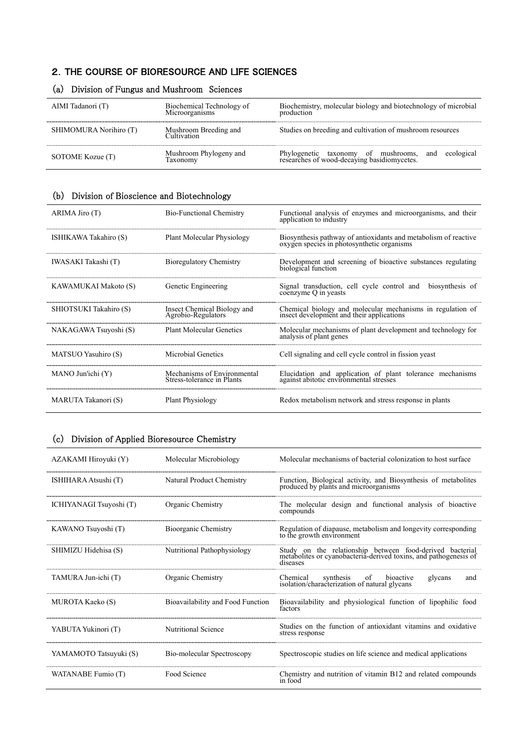### 2.THE COURSE OF BIORESOURCE AND LIFE SCIENCES

| AIMI Tadanori (T)      | Biochemical Technology of<br>Microorganisms | Biochemistry, molecular biology and biotechnology of microbial<br>production                            |
|------------------------|---------------------------------------------|---------------------------------------------------------------------------------------------------------|
| SHIMOMURA Norihiro (T) | Mushroom Breeding and<br>Cultivation        | Studies on breeding and cultivation of mushroom resources                                               |
| SOTOME Kozue (T)       | Mushroom Phylogeny and<br>Taxonomy          | ecological<br>Phylogenetic taxonomy of mushrooms,<br>researches of wood-decaying basidiomycetes.<br>and |

# (a) Division of Fungus and Mushroom Sciences

# (b) Division of Bioscience and Biotechnology

| ARIMA Jiro (T)         | <b>Bio-Functional Chemistry</b>                           | Functional analysis of enzymes and microorganisms, and their<br>application to industry                       |
|------------------------|-----------------------------------------------------------|---------------------------------------------------------------------------------------------------------------|
| ISHIKAWA Takahiro (S)  | Plant Molecular Physiology                                | Biosynthesis pathway of antioxidants and metabolism of reactive<br>oxygen species in photosynthetic organisms |
| IWASAKI Takashi (T)    | <b>Bioregulatory Chemistry</b>                            | Development and screening of bioactive substances regulating<br>biological function                           |
| KAWAMUKAI Makoto (S)   | Genetic Engineering                                       | Signal transduction, cell cycle control and biosynthesis of<br>coenzyme Q in yeasts                           |
| SHIOTSUKI Takahiro (S) | Insect Chemical Biology and<br>Agrobio-Regulators         | Chemical biology and molecular mechanisms in regulation of insect development and their applications          |
| NAKAGAWA Tsuyoshi (S)  | Plant Molecular Genetics                                  | Molecular mechanisms of plant development and technology for<br>analysis of plant genes                       |
| MATSUO Yasuhiro (S)    | Microbial Genetics                                        | Cell signaling and cell cycle control in fission yeast                                                        |
| $MANO$ Jun'ichi $(Y)$  | Mechanisms of Environmental<br>Stress-tolerance in Plants | Elucidation and application of plant tolerance mechanisms<br>against abitotic environmental stresses          |
| MARUTA Takanori (S)    | <b>Plant Physiology</b>                                   | Redox metabolism network and stress response in plants                                                        |

### (c) Division of Applied Bioresource Chemistry

| AZAKAMI Hiroyuki (Y)    | Molecular Microbiology            | Molecular mechanisms of bacterial colonization to host surface                                                                            |
|-------------------------|-----------------------------------|-------------------------------------------------------------------------------------------------------------------------------------------|
| ISHIHARA Atsushi (T)    | Natural Product Chemistry         | Function, Biological activity, and Biosynthesis of metabolites produced by plants and microorganisms                                      |
| ICHIYANAGI Tsuyoshi (T) | Organic Chemistry                 | The molecular design and functional analysis of bioactive<br>compounds                                                                    |
| KAWANO Tsuyoshi (T)     | Bioorganic Chemistry              | Regulation of diapause, metabolism and longevity corresponding<br>to the growth environment                                               |
| SHIMIZU Hidehisa (S)    | Nutritional Pathophysiology       | Study on the relationship between food-derived bacterial<br>metabolities or cyanobacteria-derived toxins, and pathogenesis of<br>diseases |
| TAMURA Jun-ichi (T)     | Organic Chemistry                 | synthesis<br>of bioactive<br>Chemical<br>glycans<br>and<br>isolation/characterization of natural glycans                                  |
| <b>MUROTA Kaeko (S)</b> | Bioavailability and Food Function | Bioavailability and physiological function of lipophilic food<br>factors                                                                  |
| YABUTA Yukinori (T)     | Nutritional Science               | Studies on the function of antioxidant vitamins and oxidative<br>stress response                                                          |
| YAMAMOTO Tatsuyuki (S)  | Bio-molecular Spectroscopy        | Spectroscopic studies on life science and medical applications                                                                            |
| WATANABE Fumio (T)      | Food Science                      | Chemistry and nutrition of vitamin B12 and related compounds<br>in food                                                                   |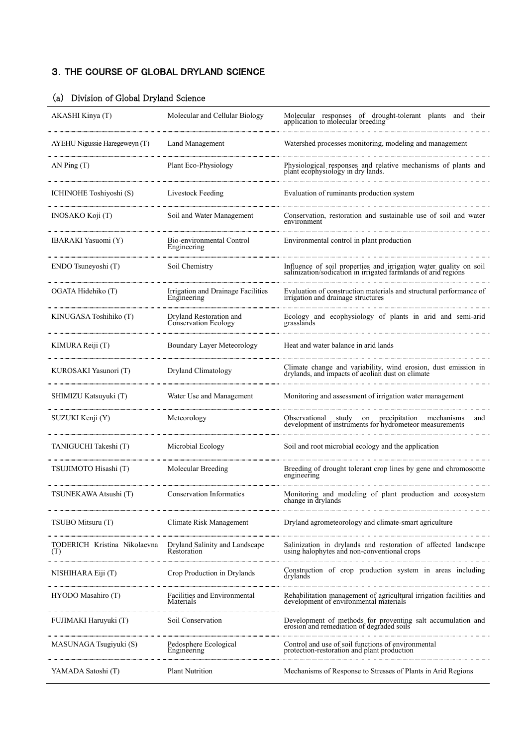# 3.THE COURSE OF GLOBAL DRYLAND SCIENCE

| AKASHI Kinya (T)                    | Molecular and Cellular Biology                    | Molecular responses of drought-tolerant plants and their<br>application to molecular breeding                                    |
|-------------------------------------|---------------------------------------------------|----------------------------------------------------------------------------------------------------------------------------------|
| AYEHU Nigussie Haregeweyn (T)       | Land Management                                   | Watershed processes monitoring, modeling and management                                                                          |
| AN Ping $(T)$                       | Plant Eco-Physiology                              | Physiological responses and relative mechanisms of plants and plant ecophysiology in dry lands.                                  |
| ICHINOHE Toshiyoshi (S)             | Livestock Feeding                                 | Evaluation of ruminants production system                                                                                        |
| INOSAKO Koji (T)                    | Soil and Water Management                         | Conservation, restoration and sustainable use of soil and water<br>environment                                                   |
| IBARAKI Yasuomi (Y)                 | Bio-environmental Control<br>Engineering          | Environmental control in plant production                                                                                        |
| ENDO Tsuneyoshi (T)                 | Soil Chemistry                                    | Influence of soil properties and irrigation water quality on soil salinization/sodication in irrigated farmlands of arid regions |
| OGATA Hidehiko (T)                  | Irrigation and Drainage Facilities<br>Engineering | Evaluation of construction materials and structural performance of<br>irrigation and drainage structures                         |
| KINUGASA Toshihiko (T)              | Dryland Restoration and<br>Conservation Ecology   | Ecology and ecophysiology of plants in arid and semi-arid grasslands                                                             |
| KIMURA Reiji (T)                    | Boundary Layer Meteorology                        | Heat and water balance in arid lands                                                                                             |
| KUROSAKI Yasunori (T)               | Dryland Climatology                               | Climate change and variability, wind erosion, dust emission in drylands, and impacts of aeolian dust on climate                  |
| SHIMIZU Katsuyuki (T)               | Water Use and Management                          | Monitoring and assessment of irrigation water management                                                                         |
| SUZUKI Kenji (Y)                    | Meteorology                                       | Observational study on precipitation mechanisms<br>development of instruments for hydrometeor measurements<br>and                |
| TANIGUCHI Takeshi (T)               | Microbial Ecology                                 | Soil and root microbial ecology and the application                                                                              |
| TSUJIMOTO Hisashi (T)               | Molecular Breeding                                | Breeding of drought tolerant crop lines by gene and chromosome<br>engineering                                                    |
| TSUNEKAWA Atsushi (T)               | <b>Conservation Informatics</b>                   | Monitoring and modeling of plant production and ecosystem change in drylands                                                     |
| TSUBO Mitsuru (T)                   | Climate Risk Management                           | Dryland agrometeorology and climate-smart agriculture                                                                            |
| TODERICH Kristina Nikolaevna<br>(T) | Dryland Salinity and Landscape<br>Restoration     | Salinization in drylands and restoration of affected landscape<br>using halophytes and non-conventional crops                    |
| NISHIHARA Eiji (T)                  | Crop Production in Drylands                       | Construction of crop production system in areas including<br>drylands                                                            |
| HYODO Masahiro (T)                  | Facilities and Environmental<br>Materials         | Rehabilitation management of agricultural irrigation facilities and<br>development of environmental materials                    |
| FUJIMAKI Haruyuki (T)               | Soil Conservation                                 | Development of methods for proventing salt accumulation and<br>erosion and remediation of degraded soils                         |
| MASUNAGA Tsugiyuki (S)              | Pedosphere Ecological<br>Engineering              | Control and use of soil functions of environmental<br>protection-restoration and plant production                                |
| YAMADA Satoshi (T)                  | <b>Plant Nutrition</b>                            | Mechanisms of Response to Stresses of Plants in Arid Regions                                                                     |

# (a) Division of Global Dryland Science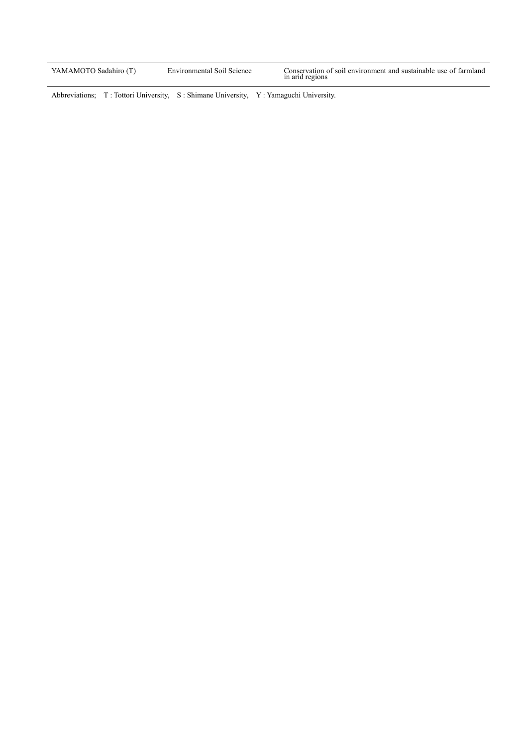| YAMAMOTO Sadahiro (T) | Environmental Soil Science | Conservation of soil environment and sustainable use of farmland<br>in arid regions |
|-----------------------|----------------------------|-------------------------------------------------------------------------------------|
|-----------------------|----------------------------|-------------------------------------------------------------------------------------|

Abbreviations; T: Tottori University, S: Shimane University, Y: Yamaguchi University.